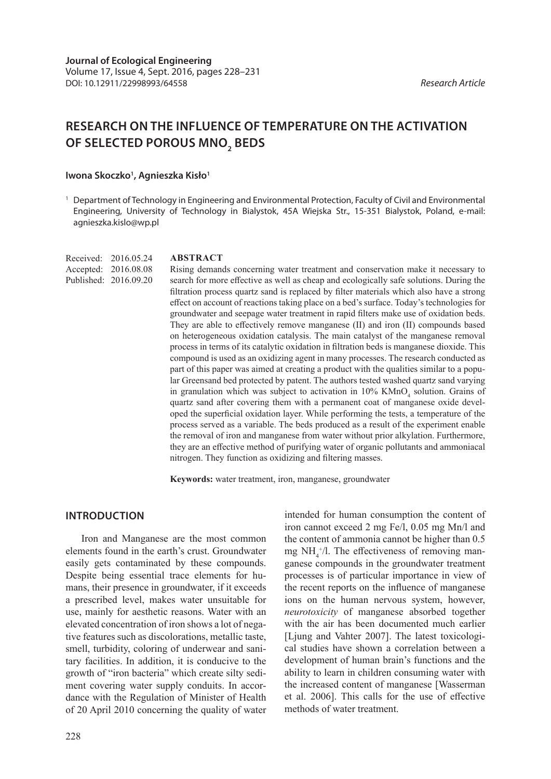# **RESEARCH ON THE INFLUENCE OF TEMPERATURE ON THE ACTIVATION OF SELECTED POROUS MNO2 BEDS**

### Iwona Skoczko<sup>1</sup>, Agnieszka Kisło<sup>1</sup>

<sup>1</sup> Department of Technology in Engineering and Environmental Protection, Faculty of Civil and Environmental Engineering, University of Technology in Bialystok, 45A Wiejska Str., 15-351 Bialystok, Poland, e-mail: agnieszka.kislo@wp.pl

Received: 2016.05.24 Accepted: 2016.08.08 Published: 2016.09.20

### **ABSTRACT**

Rising demands concerning water treatment and conservation make it necessary to search for more effective as well as cheap and ecologically safe solutions. During the filtration process quartz sand is replaced by filter materials which also have a strong effect on account of reactions taking place on a bed's surface. Today's technologies for groundwater and seepage water treatment in rapid filters make use of oxidation beds. They are able to effectively remove manganese (II) and iron (II) compounds based on heterogeneous oxidation catalysis. The main catalyst of the manganese removal process in terms of its catalytic oxidation in filtration beds is manganese dioxide. This compound is used as an oxidizing agent in many processes. The research conducted as part of this paper was aimed at creating a product with the qualities similar to a popular Greensand bed protected by patent. The authors tested washed quartz sand varying in granulation which was subject to activation in  $10\%$  KMnO<sub>4</sub> solution. Grains of quartz sand after covering them with a permanent coat of manganese oxide developed the superficial oxidation layer. While performing the tests, a temperature of the process served as a variable. The beds produced as a result of the experiment enable the removal of iron and manganese from water without prior alkylation. Furthermore, they are an effective method of purifying water of organic pollutants and ammoniacal nitrogen. They function as oxidizing and filtering masses.

**Keywords:** water treatment, iron, manganese, groundwater

## **INTRODUCTION**

Iron and Manganese are the most common elements found in the earth's crust. Groundwater easily gets contaminated by these compounds. Despite being essential trace elements for humans, their presence in groundwater, if it exceeds a prescribed level, makes water unsuitable for use, mainly for aesthetic reasons. Water with an elevated concentration of iron shows a lot of negative features such as discolorations, metallic taste, smell, turbidity, coloring of underwear and sanitary facilities. In addition, it is conducive to the growth of "iron bacteria" which create silty sediment covering water supply conduits. In accordance with the Regulation of Minister of Health of 20 April 2010 concerning the quality of water

intended for human consumption the content of iron cannot exceed 2 mg Fe/l, 0.05 mg Mn/l and the content of ammonia cannot be higher than 0.5 mg  $NH<sub>4</sub><sup>+/-</sup>/l$ . The effectiveness of removing manganese compounds in the groundwater treatment processes is of particular importance in view of the recent reports on the influence of manganese ions on the human nervous system, however, *neurotoxicity* of manganese absorbed together with the air has been documented much earlier [Ljung and Vahter 2007]. The latest toxicological studies have shown a correlation between a development of human brain's functions and the ability to learn in children consuming water with the increased content of manganese [Wasserman et al. 2006]. This calls for the use of effective methods of water treatment.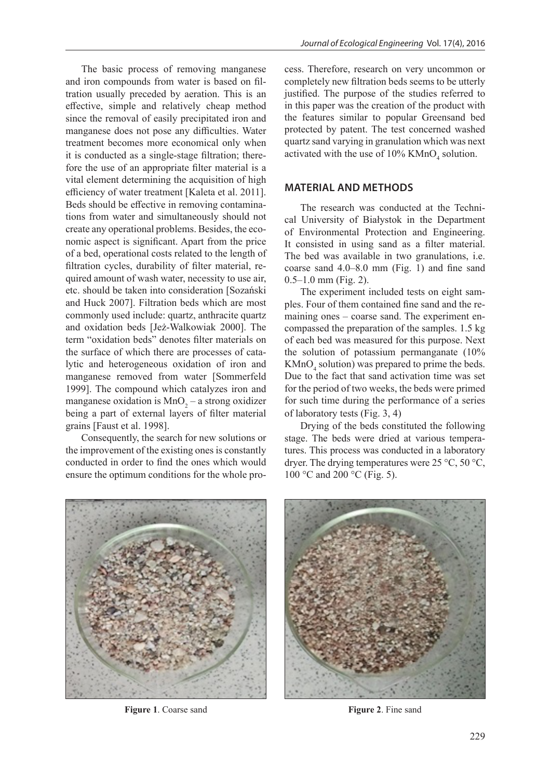The basic process of removing manganese and iron compounds from water is based on filtration usually preceded by aeration. This is an effective, simple and relatively cheap method since the removal of easily precipitated iron and manganese does not pose any difficulties. Water treatment becomes more economical only when it is conducted as a single-stage filtration; therefore the use of an appropriate filter material is a vital element determining the acquisition of high efficiency of water treatment [Kaleta et al. 2011]. Beds should be effective in removing contaminations from water and simultaneously should not create any operational problems. Besides, the economic aspect is significant. Apart from the price of a bed, operational costs related to the length of filtration cycles, durability of filter material, required amount of wash water, necessity to use air, etc. should be taken into consideration [Sozański and Huck 2007]. Filtration beds which are most commonly used include: quartz, anthracite quartz and oxidation beds [Jeż-Walkowiak 2000]. The term "oxidation beds" denotes filter materials on the surface of which there are processes of catalytic and heterogeneous oxidation of iron and manganese removed from water [Sommerfeld 1999]. The compound which catalyzes iron and manganese oxidation is  $MnO<sub>2</sub> - a$  strong oxidizer being a part of external layers of filter material grains [Faust et al. 1998].

Consequently, the search for new solutions or the improvement of the existing ones is constantly conducted in order to find the ones which would ensure the optimum conditions for the whole process. Therefore, research on very uncommon or completely new filtration beds seems to be utterly justified. The purpose of the studies referred to in this paper was the creation of the product with the features similar to popular Greensand bed protected by patent. The test concerned washed quartz sand varying in granulation which was next activated with the use of  $10\%$  KMnO<sub>4</sub> solution.

## **MATERIAL AND METHODS**

The research was conducted at the Technical University of Białystok in the Department of Environmental Protection and Engineering. It consisted in using sand as a filter material. The bed was available in two granulations, i.e. coarse sand 4.0–8.0 mm (Fig. 1) and fine sand  $0.5-1.0$  mm (Fig. 2).

The experiment included tests on eight samples. Four of them contained fine sand and the remaining ones – coarse sand. The experiment encompassed the preparation of the samples. 1.5 kg of each bed was measured for this purpose. Next the solution of potassium permanganate (10%  $KMnO<sub>4</sub>$  solution) was prepared to prime the beds. Due to the fact that sand activation time was set for the period of two weeks, the beds were primed for such time during the performance of a series of laboratory tests (Fig. 3, 4)

Drying of the beds constituted the following stage. The beds were dried at various temperatures. This process was conducted in a laboratory dryer. The drying temperatures were 25 °C, 50 °C, 100 °C and 200 °C (Fig. 5).



**Figure 1.** Coarse sand **Figure 2.** Fine sand

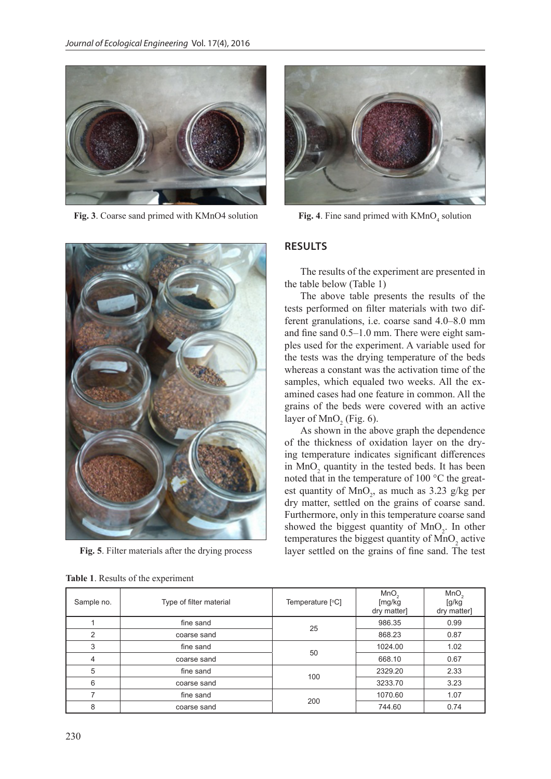

**Fig. 3**. Coarse sand primed with KMnO4 solution



**Fig. 5**. Filter materials after the drying process

|  |  | Table 1. Results of the experiment |
|--|--|------------------------------------|
|  |  |                                    |



Fig. 4. Fine sand primed with  $KMnO<sub>a</sub>$  solution

## **RESULTS**

The results of the experiment are presented in the table below (Table 1)

The above table presents the results of the tests performed on filter materials with two different granulations, i.e. coarse sand 4.0–8.0 mm and fine sand 0.5–1.0 mm. There were eight samples used for the experiment. A variable used for the tests was the drying temperature of the beds whereas a constant was the activation time of the samples, which equaled two weeks. All the examined cases had one feature in common. All the grains of the beds were covered with an active layer of  $MnO<sub>2</sub>$  (Fig. 6).

As shown in the above graph the dependence of the thickness of oxidation layer on the drying temperature indicates significant differences in  $MnO<sub>2</sub>$  quantity in the tested beds. It has been noted that in the temperature of 100 °C the greatest quantity of  $MnO_2$ , as much as 3.23 g/kg per dry matter, settled on the grains of coarse sand. Furthermore, only in this temperature coarse sand showed the biggest quantity of  $MnO_2$ . In other temperatures the biggest quantity of  $MnO_2$  active layer settled on the grains of fine sand. The test

| Sample no. | Type of filter material | Temperature [°C] | MnO <sub>2</sub><br>[mg/kg<br>dry matter] | MnO <sub>2</sub><br>[g/kg]<br>dry matter] |
|------------|-------------------------|------------------|-------------------------------------------|-------------------------------------------|
|            | fine sand               | 25               | 986.35                                    | 0.99                                      |
| 2          | coarse sand             |                  | 868.23                                    | 0.87                                      |
| 3          | fine sand               | 50               | 1024.00                                   | 1.02                                      |
| 4          | coarse sand             |                  | 668.10                                    | 0.67                                      |
| 5          | fine sand               | 100              | 2329.20                                   | 2.33                                      |
| 6          | coarse sand             |                  | 3233.70                                   | 3.23                                      |
|            | fine sand               | 200              | 1070.60                                   | 1.07                                      |
| 8          | coarse sand             |                  | 744.60                                    | 0.74                                      |